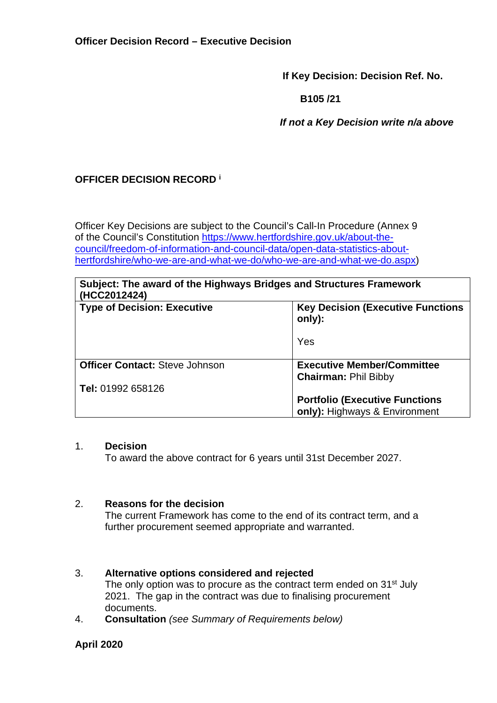**If Key Decision: Decision Ref. No.** 

 **B105 /21** 

 *If not a Key Decision write n/a above* 

# **OFFICER DECISION RECORD <sup>i</sup>**

Officer Key Decisions are subject to the Council's Call-In Procedure (Annex 9 of the Council's Constitution [https://www.hertfordshire.gov.uk/about-the](https://www.hertfordshire.gov.uk/about-the-council/freedom-of-information-and-council-data/open-data-statistics-about-hertfordshire/who-we-are-and-what-we-do/who-we-are-and-what-we-do.aspx)[council/freedom-of-information-and-council-data/open-data-statistics-about](https://www.hertfordshire.gov.uk/about-the-council/freedom-of-information-and-council-data/open-data-statistics-about-hertfordshire/who-we-are-and-what-we-do/who-we-are-and-what-we-do.aspx)[hertfordshire/who-we-are-and-what-we-do/who-we-are-and-what-we-do.aspx\)](https://www.hertfordshire.gov.uk/about-the-council/freedom-of-information-and-council-data/open-data-statistics-about-hertfordshire/who-we-are-and-what-we-do/who-we-are-and-what-we-do.aspx)

| Subject: The award of the Highways Bridges and Structures Framework |  |
|---------------------------------------------------------------------|--|
| (HCC2012424)                                                        |  |

| \I IVVLV I LTLT.                      |                                                     |
|---------------------------------------|-----------------------------------------------------|
| <b>Type of Decision: Executive</b>    | <b>Key Decision (Executive Functions)</b><br>only): |
|                                       | Yes                                                 |
| <b>Officer Contact: Steve Johnson</b> | <b>Executive Member/Committee</b>                   |
|                                       | <b>Chairman: Phil Bibby</b>                         |
| Tel: 01992 658126                     |                                                     |
|                                       | <b>Portfolio (Executive Functions)</b>              |
|                                       | only): Highways & Environment                       |

### 1. **Decision**

To award the above contract for 6 years until 31st December 2027.

## 2. **Reasons for the decision**

The current Framework has come to the end of its contract term, and a further procurement seemed appropriate and warranted.

## 3. **Alternative options considered and rejected**

The only option was to procure as the contract term ended on 31<sup>st</sup> July 2021. The gap in the contract was due to finalising procurement documents.

4. **Consultation** *(see Summary of Requirements below)*

## **April 2020**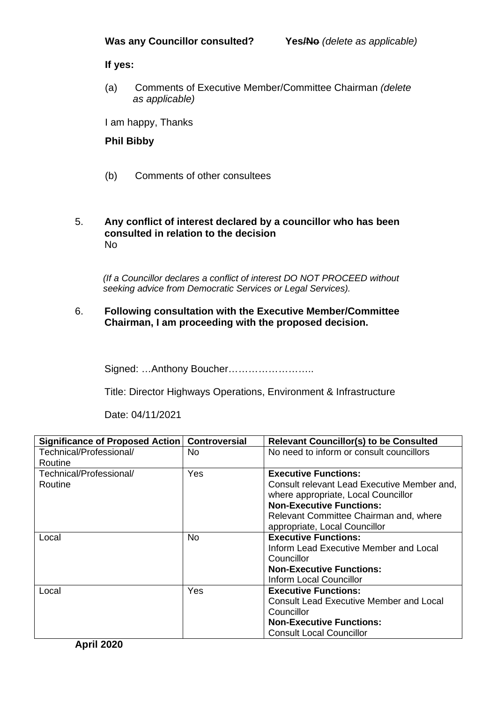### **If yes:**

(a) Comments of Executive Member/Committee Chairman *(delete as applicable)* 

I am happy, Thanks

### **Phil Bibby**

(b) Comments of other consultees

### 5. **Any conflict of interest declared by a councillor who has been consulted in relation to the decision**  No

 *(If a Councillor declares a conflict of interest DO NOT PROCEED without seeking advice from Democratic Services or Legal Services).* 

### 6. **Following consultation with the Executive Member/Committee Chairman, I am proceeding with the proposed decision.**

Signed: …Anthony Boucher……………………..

Title: Director Highways Operations, Environment & Infrastructure

Date: 04/11/2021

| Significance of Proposed Action   Controversial |     | <b>Relevant Councillor(s) to be Consulted</b>  |
|-------------------------------------------------|-----|------------------------------------------------|
| Technical/Professional/                         | No. | No need to inform or consult councillors       |
| Routine                                         |     |                                                |
| Technical/Professional/                         | Yes | <b>Executive Functions:</b>                    |
| Routine                                         |     | Consult relevant Lead Executive Member and,    |
|                                                 |     | where appropriate, Local Councillor            |
|                                                 |     | <b>Non-Executive Functions:</b>                |
|                                                 |     | Relevant Committee Chairman and, where         |
|                                                 |     | appropriate, Local Councillor                  |
| Local                                           | No. | <b>Executive Functions:</b>                    |
|                                                 |     | Inform Lead Executive Member and Local         |
|                                                 |     | Councillor                                     |
|                                                 |     | <b>Non-Executive Functions:</b>                |
|                                                 |     | Inform Local Councillor                        |
| Local                                           | Yes | <b>Executive Functions:</b>                    |
|                                                 |     | <b>Consult Lead Executive Member and Local</b> |
|                                                 |     | Councillor                                     |
|                                                 |     | <b>Non-Executive Functions:</b>                |
|                                                 |     | <b>Consult Local Councillor</b>                |